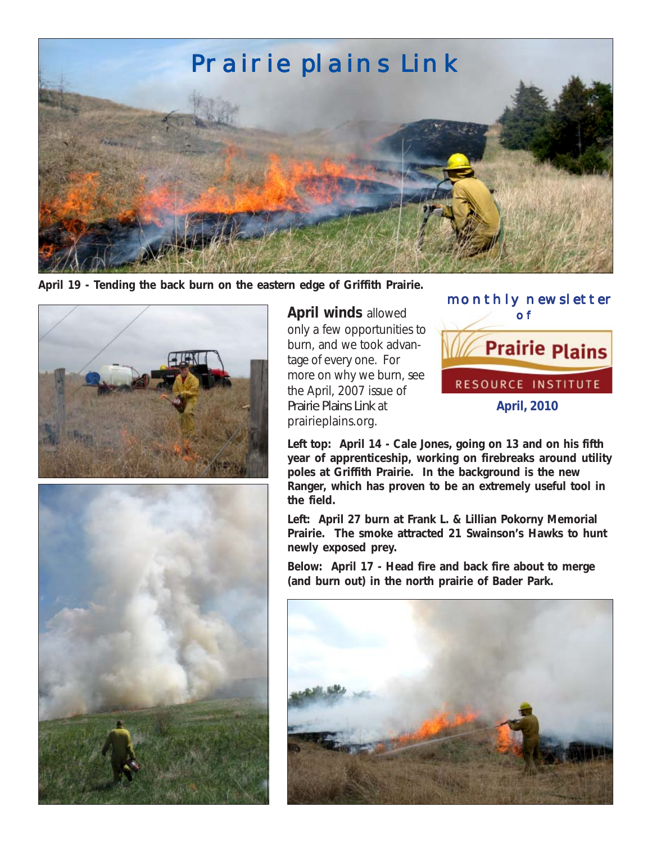

**April 19 - Tending the back burn on the eastern edge of Griffith Prairie.**





**April winds** allowed only a few opportunities to burn, and we took advantage of every one. For more on why we burn, see the April, 2007 issue of *Prairie Plains Link* at prairieplains.org.



**Left top: April 14 - Cale Jones, going on 13 and on his fifth year of apprenticeship, working on firebreaks around utility poles at Griffith Prairie. In the background is the new Ranger, which has proven to be an extremely useful tool in the field.**

**Left: April 27 burn at Frank L. & Lillian Pokorny Memorial Prairie. The smoke attracted 21 Swainson's Hawks to hunt newly exposed prey.**

**Below: April 17 - Head fire and back fire about to merge (and burn out) in the north prairie of Bader Park.**